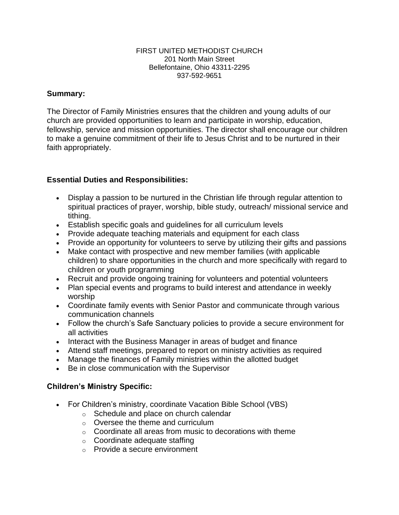#### FIRST UNITED METHODIST CHURCH 201 North Main Street Bellefontaine, Ohio 43311-2295 937-592-9651

## **Summary:**

The Director of Family Ministries ensures that the children and young adults of our church are provided opportunities to learn and participate in worship, education, fellowship, service and mission opportunities. The director shall encourage our children to make a genuine commitment of their life to Jesus Christ and to be nurtured in their faith appropriately.

# **Essential Duties and Responsibilities:**

- Display a passion to be nurtured in the Christian life through regular attention to spiritual practices of prayer, worship, bible study, outreach/ missional service and tithing.
- Establish specific goals and guidelines for all curriculum levels
- Provide adequate teaching materials and equipment for each class
- Provide an opportunity for volunteers to serve by utilizing their gifts and passions
- Make contact with prospective and new member families (with applicable children) to share opportunities in the church and more specifically with regard to children or youth programming
- Recruit and provide ongoing training for volunteers and potential volunteers
- Plan special events and programs to build interest and attendance in weekly worship
- Coordinate family events with Senior Pastor and communicate through various communication channels
- Follow the church's Safe Sanctuary policies to provide a secure environment for all activities
- Interact with the Business Manager in areas of budget and finance
- Attend staff meetings, prepared to report on ministry activities as required
- Manage the finances of Family ministries within the allotted budget
- Be in close communication with the Supervisor

## **Children's Ministry Specific:**

- For Children's ministry, coordinate Vacation Bible School (VBS)
	- o Schedule and place on church calendar
	- o Oversee the theme and curriculum
	- $\circ$  Coordinate all areas from music to decorations with theme
	- o Coordinate adequate staffing
	- o Provide a secure environment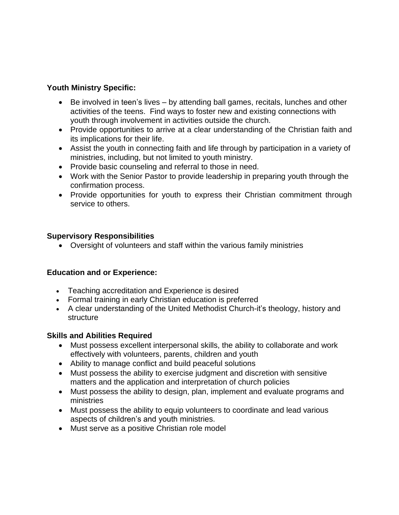# **Youth Ministry Specific:**

- Be involved in teen's lives by attending ball games, recitals, lunches and other activities of the teens. Find ways to foster new and existing connections with youth through involvement in activities outside the church.
- Provide opportunities to arrive at a clear understanding of the Christian faith and its implications for their life.
- Assist the youth in connecting faith and life through by participation in a variety of ministries, including, but not limited to youth ministry.
- Provide basic counseling and referral to those in need.
- Work with the Senior Pastor to provide leadership in preparing youth through the confirmation process.
- Provide opportunities for youth to express their Christian commitment through service to others.

## **Supervisory Responsibilities**

• Oversight of volunteers and staff within the various family ministries

## **Education and or Experience:**

- Teaching accreditation and Experience is desired
- Formal training in early Christian education is preferred
- A clear understanding of the United Methodist Church-it's theology, history and structure

## **Skills and Abilities Required**

- Must possess excellent interpersonal skills, the ability to collaborate and work effectively with volunteers, parents, children and youth
- Ability to manage conflict and build peaceful solutions
- Must possess the ability to exercise judgment and discretion with sensitive matters and the application and interpretation of church policies
- Must possess the ability to design, plan, implement and evaluate programs and ministries
- Must possess the ability to equip volunteers to coordinate and lead various aspects of children's and youth ministries.
- Must serve as a positive Christian role model